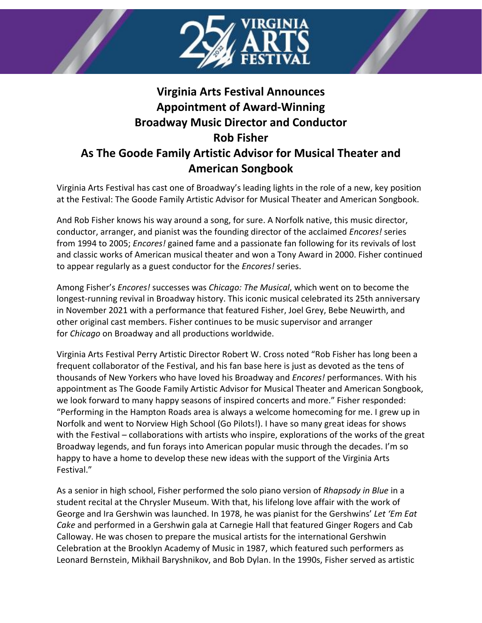

## **Virginia Arts Festival Announces Appointment of Award-Winning Broadway Music Director and Conductor Rob Fisher As The Goode Family Artistic Advisor for Musical Theater and American Songbook**

Virginia Arts Festival has cast one of Broadway's leading lights in the role of a new, key position at the Festival: The Goode Family Artistic Advisor for Musical Theater and American Songbook.

And Rob Fisher knows his way around a song, for sure. A Norfolk native, this music director, conductor, arranger, and pianist was the founding director of the acclaimed *Encores!* series from 1994 to 2005; *Encores!* gained fame and a passionate fan following for its revivals of lost and classic works of American musical theater and won a Tony Award in 2000. Fisher continued to appear regularly as a guest conductor for the *Encores!* series.

Among Fisher's *Encores!* successes was *Chicago: The Musical*, which went on to become the longest-running revival in Broadway history. This iconic musical celebrated its 25th anniversary in November 2021 with a performance that featured Fisher, Joel Grey, Bebe Neuwirth, and other original cast members. Fisher continues to be music supervisor and arranger for *Chicago* on Broadway and all productions worldwide.

Virginia Arts Festival Perry Artistic Director Robert W. Cross noted "Rob Fisher has long been a frequent collaborator of the Festival, and his fan base here is just as devoted as the tens of thousands of New Yorkers who have loved his Broadway and *Encores!* performances. With his appointment as The Goode Family Artistic Advisor for Musical Theater and American Songbook, we look forward to many happy seasons of inspired concerts and more." Fisher responded: "Performing in the Hampton Roads area is always a welcome homecoming for me. I grew up in Norfolk and went to Norview High School (Go Pilots!). I have so many great ideas for shows with the Festival – collaborations with artists who inspire, explorations of the works of the great Broadway legends, and fun forays into American popular music through the decades. I'm so happy to have a home to develop these new ideas with the support of the Virginia Arts Festival."

As a senior in high school, Fisher performed the solo piano version of *Rhapsody in Blue* in a student recital at the Chrysler Museum. With that, his lifelong love affair with the work of George and Ira Gershwin was launched. In 1978, he was pianist for the Gershwins' *Let 'Em Eat Cake* and performed in a Gershwin gala at Carnegie Hall that featured Ginger Rogers and Cab Calloway. He was chosen to prepare the musical artists for the international Gershwin Celebration at the Brooklyn Academy of Music in 1987, which featured such performers as Leonard Bernstein, Mikhail Baryshnikov, and Bob Dylan. In the 1990s, Fisher served as artistic